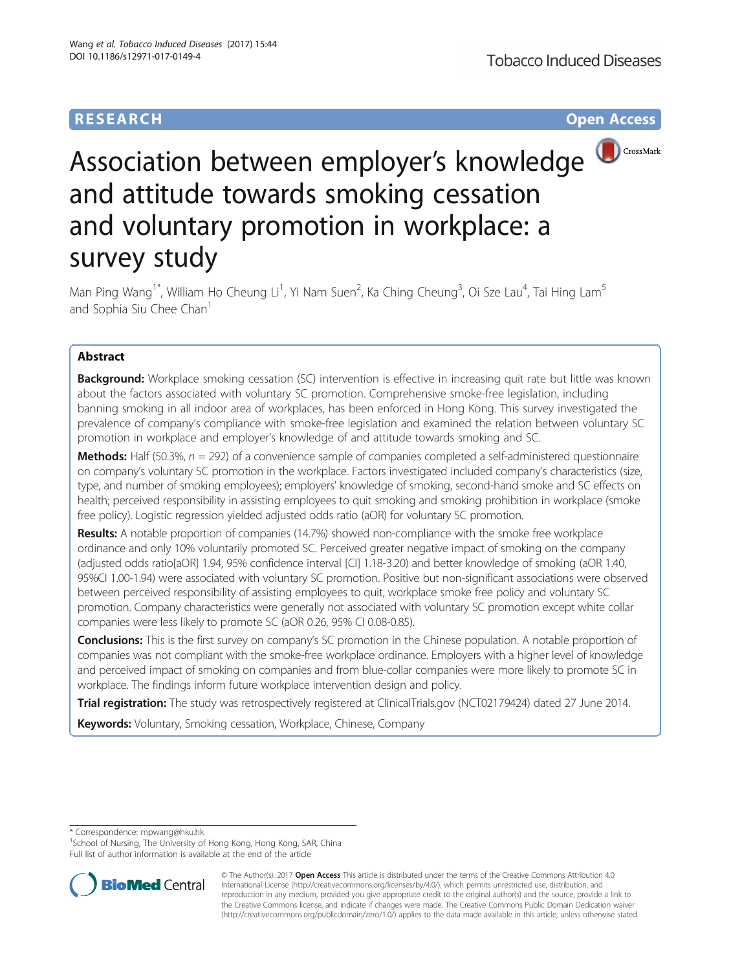# **RESEARCH RESEARCH** *CHECK CHECK CHECK CHECK CHECK CHECK CHECK CHECK CHECK CHECK CHECK CHECK CHECK CHECK CHECK CHECK CHECK CHECK CHECK CHECK CHECK CHECK CHECK CHECK CHECK CHECK CHECK CHECK CHECK CHECK CHECK CHECK CHECK*



# Association between employer's knowledge and attitude towards smoking cessation and voluntary promotion in workplace: a survey study

Man Ping Wang<sup>1\*</sup>, William Ho Cheung Li<sup>1</sup>, Yi Nam Suen<sup>2</sup>, Ka Ching Cheung<sup>3</sup>, Oi Sze Lau<sup>4</sup>, Tai Hing Lam<sup>5</sup> and Sophia Siu Chee Chan<sup>1</sup>

### Abstract

**Background:** Workplace smoking cessation (SC) intervention is effective in increasing quit rate but little was known about the factors associated with voluntary SC promotion. Comprehensive smoke-free legislation, including banning smoking in all indoor area of workplaces, has been enforced in Hong Kong. This survey investigated the prevalence of company's compliance with smoke-free legislation and examined the relation between voluntary SC promotion in workplace and employer's knowledge of and attitude towards smoking and SC.

**Methods:** Half (50.3%,  $n = 292$ ) of a convenience sample of companies completed a self-administered questionnaire on company's voluntary SC promotion in the workplace. Factors investigated included company's characteristics (size, type, and number of smoking employees); employers' knowledge of smoking, second-hand smoke and SC effects on health; perceived responsibility in assisting employees to quit smoking and smoking prohibition in workplace (smoke free policy). Logistic regression yielded adjusted odds ratio (aOR) for voluntary SC promotion.

Results: A notable proportion of companies (14.7%) showed non-compliance with the smoke free workplace ordinance and only 10% voluntarily promoted SC. Perceived greater negative impact of smoking on the company (adjusted odds ratio[aOR] 1.94, 95% confidence interval [CI] 1.18-3.20) and better knowledge of smoking (aOR 1.40, 95%CI 1.00-1.94) were associated with voluntary SC promotion. Positive but non-significant associations were observed between perceived responsibility of assisting employees to quit, workplace smoke free policy and voluntary SC promotion. Company characteristics were generally not associated with voluntary SC promotion except white collar companies were less likely to promote SC (aOR 0.26, 95% CI 0.08-0.85).

**Conclusions:** This is the first survey on company's SC promotion in the Chinese population. A notable proportion of companies was not compliant with the smoke-free workplace ordinance. Employers with a higher level of knowledge and perceived impact of smoking on companies and from blue-collar companies were more likely to promote SC in workplace. The findings inform future workplace intervention design and policy.

Trial registration: The study was retrospectively registered at ClinicalTrials.gov ([NCT02179424\)](https://clinicaltrials.gov/ct2/show/NCT02179424) dated 27 June 2014.

Keywords: Voluntary, Smoking cessation, Workplace, Chinese, Company

\* Correspondence: [mpwang@hku.hk](mailto:mpwang@hku.hk) <sup>1</sup>

<sup>1</sup>School of Nursing, The University of Hong Kong, Hong Kong, SAR, China Full list of author information is available at the end of the article



© The Author(s). 2017 **Open Access** This article is distributed under the terms of the Creative Commons Attribution 4.0 International License [\(http://creativecommons.org/licenses/by/4.0/](http://creativecommons.org/licenses/by/4.0/)), which permits unrestricted use, distribution, and reproduction in any medium, provided you give appropriate credit to the original author(s) and the source, provide a link to the Creative Commons license, and indicate if changes were made. The Creative Commons Public Domain Dedication waiver [\(http://creativecommons.org/publicdomain/zero/1.0/](http://creativecommons.org/publicdomain/zero/1.0/)) applies to the data made available in this article, unless otherwise stated.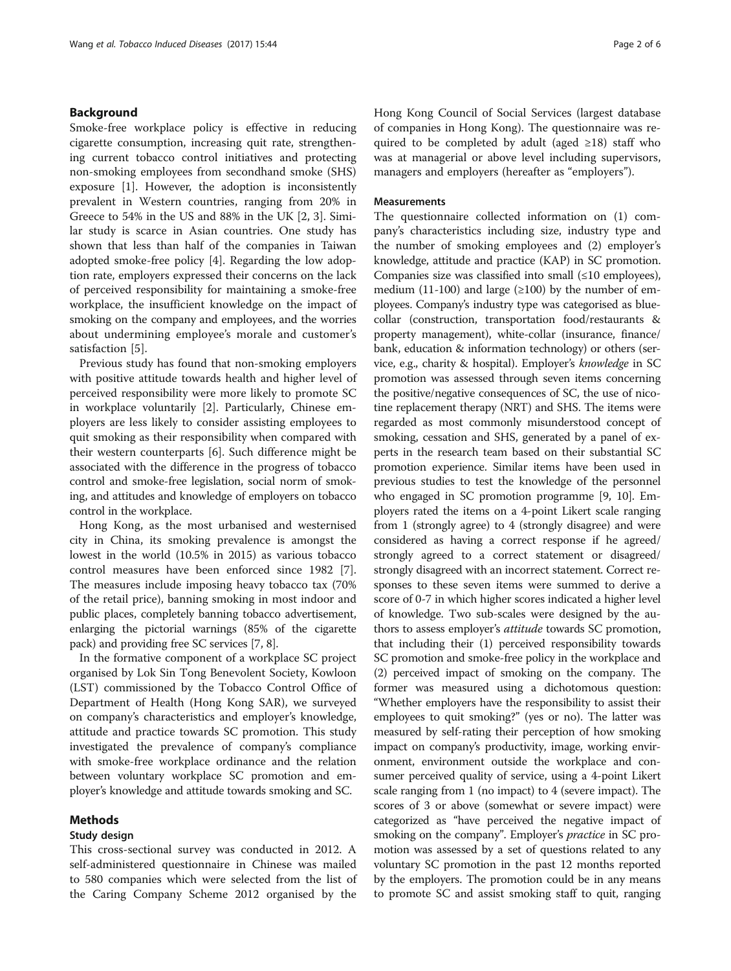#### Background

Smoke-free workplace policy is effective in reducing cigarette consumption, increasing quit rate, strengthening current tobacco control initiatives and protecting non-smoking employees from secondhand smoke (SHS) exposure [\[1](#page-5-0)]. However, the adoption is inconsistently prevalent in Western countries, ranging from 20% in Greece to 54% in the US and 88% in the UK [\[2](#page-5-0), [3](#page-5-0)]. Similar study is scarce in Asian countries. One study has shown that less than half of the companies in Taiwan adopted smoke-free policy [\[4](#page-5-0)]. Regarding the low adoption rate, employers expressed their concerns on the lack of perceived responsibility for maintaining a smoke-free workplace, the insufficient knowledge on the impact of smoking on the company and employees, and the worries about undermining employee's morale and customer's satisfaction [[5\]](#page-5-0).

Previous study has found that non-smoking employers with positive attitude towards health and higher level of perceived responsibility were more likely to promote SC in workplace voluntarily [[2\]](#page-5-0). Particularly, Chinese employers are less likely to consider assisting employees to quit smoking as their responsibility when compared with their western counterparts [[6\]](#page-5-0). Such difference might be associated with the difference in the progress of tobacco control and smoke-free legislation, social norm of smoking, and attitudes and knowledge of employers on tobacco control in the workplace.

Hong Kong, as the most urbanised and westernised city in China, its smoking prevalence is amongst the lowest in the world (10.5% in 2015) as various tobacco control measures have been enforced since 1982 [\[7](#page-5-0)]. The measures include imposing heavy tobacco tax (70% of the retail price), banning smoking in most indoor and public places, completely banning tobacco advertisement, enlarging the pictorial warnings (85% of the cigarette pack) and providing free SC services [\[7](#page-5-0), [8\]](#page-5-0).

In the formative component of a workplace SC project organised by Lok Sin Tong Benevolent Society, Kowloon (LST) commissioned by the Tobacco Control Office of Department of Health (Hong Kong SAR), we surveyed on company's characteristics and employer's knowledge, attitude and practice towards SC promotion. This study investigated the prevalence of company's compliance with smoke-free workplace ordinance and the relation between voluntary workplace SC promotion and employer's knowledge and attitude towards smoking and SC.

#### Methods

#### Study design

This cross-sectional survey was conducted in 2012. A self-administered questionnaire in Chinese was mailed to 580 companies which were selected from the list of the Caring Company Scheme 2012 organised by the Hong Kong Council of Social Services (largest database of companies in Hong Kong). The questionnaire was required to be completed by adult (aged  $\geq$ 18) staff who was at managerial or above level including supervisors, managers and employers (hereafter as "employers").

#### **Measurements**

The questionnaire collected information on (1) company's characteristics including size, industry type and the number of smoking employees and (2) employer's knowledge, attitude and practice (KAP) in SC promotion. Companies size was classified into small (≤10 employees), medium (11-100) and large ( $\geq$ 100) by the number of employees. Company's industry type was categorised as bluecollar (construction, transportation food/restaurants & property management), white-collar (insurance, finance/ bank, education & information technology) or others (service, e.g., charity & hospital). Employer's knowledge in SC promotion was assessed through seven items concerning the positive/negative consequences of SC, the use of nicotine replacement therapy (NRT) and SHS. The items were regarded as most commonly misunderstood concept of smoking, cessation and SHS, generated by a panel of experts in the research team based on their substantial SC promotion experience. Similar items have been used in previous studies to test the knowledge of the personnel who engaged in SC promotion programme [\[9](#page-5-0), [10](#page-5-0)]. Employers rated the items on a 4-point Likert scale ranging from 1 (strongly agree) to 4 (strongly disagree) and were considered as having a correct response if he agreed/ strongly agreed to a correct statement or disagreed/ strongly disagreed with an incorrect statement. Correct responses to these seven items were summed to derive a score of 0-7 in which higher scores indicated a higher level of knowledge. Two sub-scales were designed by the authors to assess employer's *attitude* towards SC promotion, that including their (1) perceived responsibility towards SC promotion and smoke-free policy in the workplace and (2) perceived impact of smoking on the company. The former was measured using a dichotomous question: "Whether employers have the responsibility to assist their employees to quit smoking?" (yes or no). The latter was measured by self-rating their perception of how smoking impact on company's productivity, image, working environment, environment outside the workplace and consumer perceived quality of service, using a 4-point Likert scale ranging from 1 (no impact) to 4 (severe impact). The scores of 3 or above (somewhat or severe impact) were categorized as "have perceived the negative impact of smoking on the company". Employer's practice in SC promotion was assessed by a set of questions related to any voluntary SC promotion in the past 12 months reported by the employers. The promotion could be in any means to promote SC and assist smoking staff to quit, ranging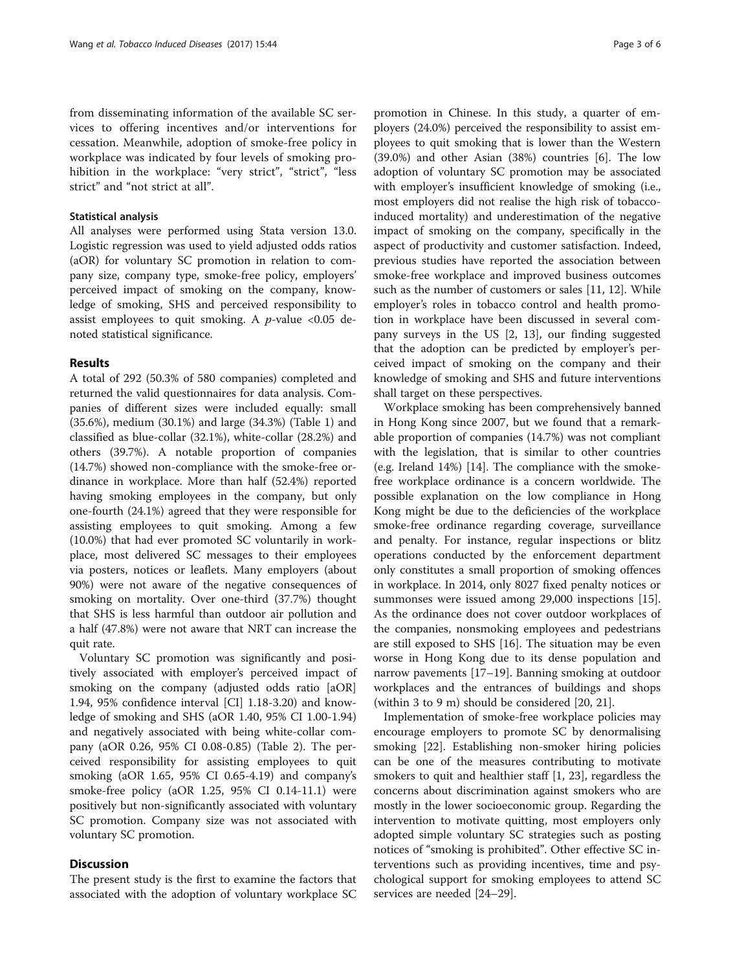from disseminating information of the available SC services to offering incentives and/or interventions for cessation. Meanwhile, adoption of smoke-free policy in workplace was indicated by four levels of smoking prohibition in the workplace: "very strict", "strict", "less strict" and "not strict at all".

#### Statistical analysis

All analyses were performed using Stata version 13.0. Logistic regression was used to yield adjusted odds ratios (aOR) for voluntary SC promotion in relation to company size, company type, smoke-free policy, employers' perceived impact of smoking on the company, knowledge of smoking, SHS and perceived responsibility to assist employees to quit smoking. A  $p$ -value <0.05 denoted statistical significance.

#### Results

A total of 292 (50.3% of 580 companies) completed and returned the valid questionnaires for data analysis. Companies of different sizes were included equally: small (35.6%), medium (30.1%) and large (34.3%) (Table [1](#page-3-0)) and classified as blue-collar (32.1%), white-collar (28.2%) and others (39.7%). A notable proportion of companies (14.7%) showed non-compliance with the smoke-free ordinance in workplace. More than half (52.4%) reported having smoking employees in the company, but only one-fourth (24.1%) agreed that they were responsible for assisting employees to quit smoking. Among a few (10.0%) that had ever promoted SC voluntarily in workplace, most delivered SC messages to their employees via posters, notices or leaflets. Many employers (about 90%) were not aware of the negative consequences of smoking on mortality. Over one-third (37.7%) thought that SHS is less harmful than outdoor air pollution and a half (47.8%) were not aware that NRT can increase the quit rate.

Voluntary SC promotion was significantly and positively associated with employer's perceived impact of smoking on the company (adjusted odds ratio [aOR] 1.94, 95% confidence interval [CI] 1.18-3.20) and knowledge of smoking and SHS (aOR 1.40, 95% CI 1.00-1.94) and negatively associated with being white-collar company (aOR 0.26, 95% CI 0.08-0.85) (Table [2\)](#page-4-0). The perceived responsibility for assisting employees to quit smoking (aOR 1.65, 95% CI 0.65-4.19) and company's smoke-free policy (aOR 1.25, 95% CI 0.14-11.1) were positively but non-significantly associated with voluntary SC promotion. Company size was not associated with voluntary SC promotion.

#### **Discussion**

The present study is the first to examine the factors that associated with the adoption of voluntary workplace SC promotion in Chinese. In this study, a quarter of employers (24.0%) perceived the responsibility to assist employees to quit smoking that is lower than the Western (39.0%) and other Asian (38%) countries [[6\]](#page-5-0). The low adoption of voluntary SC promotion may be associated with employer's insufficient knowledge of smoking (i.e., most employers did not realise the high risk of tobaccoinduced mortality) and underestimation of the negative impact of smoking on the company, specifically in the aspect of productivity and customer satisfaction. Indeed, previous studies have reported the association between smoke-free workplace and improved business outcomes such as the number of customers or sales [[11, 12\]](#page-5-0). While employer's roles in tobacco control and health promotion in workplace have been discussed in several company surveys in the US [[2, 13](#page-5-0)], our finding suggested that the adoption can be predicted by employer's perceived impact of smoking on the company and their knowledge of smoking and SHS and future interventions shall target on these perspectives.

Workplace smoking has been comprehensively banned in Hong Kong since 2007, but we found that a remarkable proportion of companies (14.7%) was not compliant with the legislation, that is similar to other countries (e.g. Ireland 14%) [\[14\]](#page-5-0). The compliance with the smokefree workplace ordinance is a concern worldwide. The possible explanation on the low compliance in Hong Kong might be due to the deficiencies of the workplace smoke-free ordinance regarding coverage, surveillance and penalty. For instance, regular inspections or blitz operations conducted by the enforcement department only constitutes a small proportion of smoking offences in workplace. In 2014, only 8027 fixed penalty notices or summonses were issued among 29,000 inspections [\[15](#page-5-0)]. As the ordinance does not cover outdoor workplaces of the companies, nonsmoking employees and pedestrians are still exposed to SHS [\[16\]](#page-5-0). The situation may be even worse in Hong Kong due to its dense population and narrow pavements [[17](#page-5-0)–[19](#page-5-0)]. Banning smoking at outdoor workplaces and the entrances of buildings and shops (within 3 to 9 m) should be considered [[20, 21\]](#page-5-0).

Implementation of smoke-free workplace policies may encourage employers to promote SC by denormalising smoking [\[22\]](#page-5-0). Establishing non-smoker hiring policies can be one of the measures contributing to motivate smokers to quit and healthier staff [\[1](#page-5-0), [23](#page-5-0)], regardless the concerns about discrimination against smokers who are mostly in the lower socioeconomic group. Regarding the intervention to motivate quitting, most employers only adopted simple voluntary SC strategies such as posting notices of "smoking is prohibited". Other effective SC interventions such as providing incentives, time and psychological support for smoking employees to attend SC services are needed [\[24](#page-5-0)–[29\]](#page-5-0).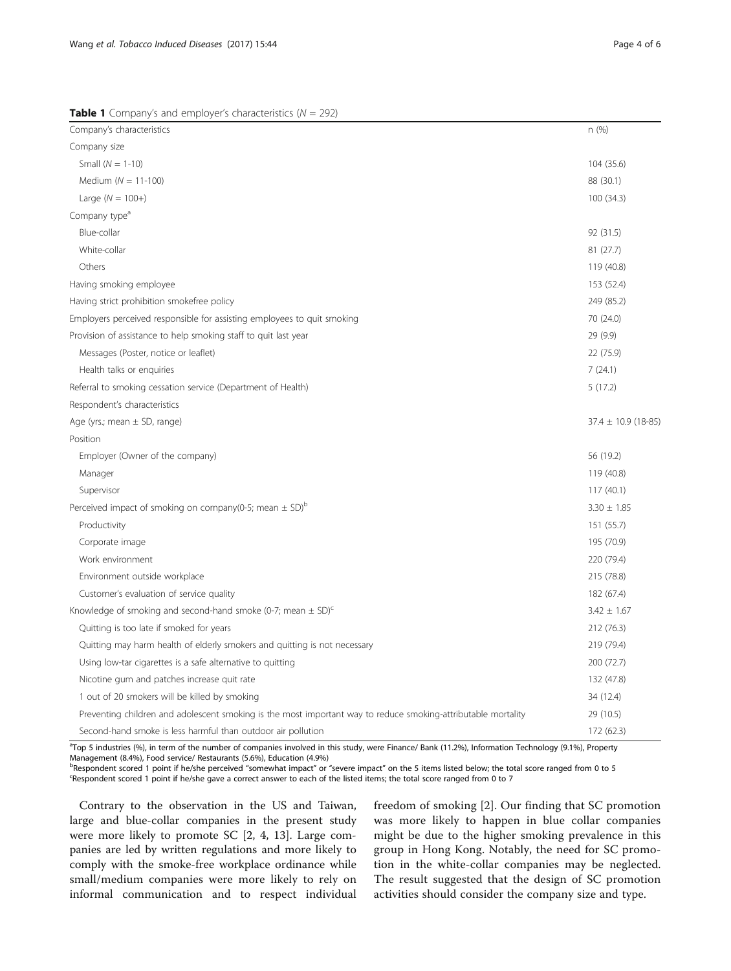<span id="page-3-0"></span>**Table 1** Company's and employer's characteristics ( $N = 292$ )

| Company's characteristics                                                                                     | n(%)                |
|---------------------------------------------------------------------------------------------------------------|---------------------|
| Company size                                                                                                  |                     |
| Small $(N = 1-10)$                                                                                            | 104 (35.6)          |
| Medium ( $N = 11 - 100$ )                                                                                     | 88 (30.1)           |
| Large ( $N = 100+$ )                                                                                          | 100 (34.3)          |
| Company type <sup>a</sup>                                                                                     |                     |
| Blue-collar                                                                                                   | 92 (31.5)           |
| White-collar                                                                                                  | 81(27.7)            |
| Others                                                                                                        | 119 (40.8)          |
| Having smoking employee                                                                                       | 153 (52.4)          |
| Having strict prohibition smokefree policy                                                                    | 249 (85.2)          |
| Employers perceived responsible for assisting employees to quit smoking                                       | 70 (24.0)           |
| Provision of assistance to help smoking staff to quit last year                                               | 29 (9.9)            |
| Messages (Poster, notice or leaflet)                                                                          | 22 (75.9)           |
| Health talks or enquiries                                                                                     | 7(24.1)             |
| Referral to smoking cessation service (Department of Health)                                                  | 5(17.2)             |
| Respondent's characteristics                                                                                  |                     |
| Age (yrs.; mean $\pm$ SD, range)                                                                              | 37.4 ± 10.9 (18-85) |
| Position                                                                                                      |                     |
| Employer (Owner of the company)                                                                               | 56 (19.2)           |
| Manager                                                                                                       | 119 (40.8)          |
| Supervisor                                                                                                    | 117(40.1)           |
| Perceived impact of smoking on company(0-5; mean $\pm$ SD) <sup>b</sup>                                       | $3.30 \pm 1.85$     |
| Productivity                                                                                                  | 151 (55.7)          |
| Corporate image                                                                                               | 195 (70.9)          |
| Work environment                                                                                              | 220 (79.4)          |
| Environment outside workplace                                                                                 | 215 (78.8)          |
| Customer's evaluation of service quality                                                                      | 182 (67.4)          |
| Knowledge of smoking and second-hand smoke (0-7; mean $\pm$ SD) <sup>c</sup>                                  | $3.42 \pm 1.67$     |
| Quitting is too late if smoked for years                                                                      | 212 (76.3)          |
| Quitting may harm health of elderly smokers and quitting is not necessary                                     | 219 (79.4)          |
| Using low-tar cigarettes is a safe alternative to quitting                                                    | 200 (72.7)          |
| Nicotine gum and patches increase quit rate                                                                   | 132 (47.8)          |
| 1 out of 20 smokers will be killed by smoking                                                                 | 34 (12.4)           |
| Preventing children and adolescent smoking is the most important way to reduce smoking-attributable mortality | 29 (10.5)           |
| Second-hand smoke is less harmful than outdoor air pollution                                                  | 172 (62.3)          |

a Top 5 industries (%), in term of the number of companies involved in this study, were Finance/ Bank (11.2%), Information Technology (9.1%), Property Management (8.4%), Food service/ Restaurants (5.6%), Education (4.9%)

b<br>Pespondent scored 1 point if he/she perceived "somewhat impact" or "severe impact" on the 5 items listed below; the total score ranged from 0 to 5<br>Sespondent scored 1 point if he/she gave a correct answer to each of the Respondent scored 1 point if he/she gave a correct answer to each of the listed items; the total score ranged from 0 to 7

Contrary to the observation in the US and Taiwan, large and blue-collar companies in the present study were more likely to promote SC [[2, 4, 13\]](#page-5-0). Large companies are led by written regulations and more likely to comply with the smoke-free workplace ordinance while small/medium companies were more likely to rely on informal communication and to respect individual freedom of smoking [[2\]](#page-5-0). Our finding that SC promotion was more likely to happen in blue collar companies might be due to the higher smoking prevalence in this group in Hong Kong. Notably, the need for SC promotion in the white-collar companies may be neglected. The result suggested that the design of SC promotion activities should consider the company size and type.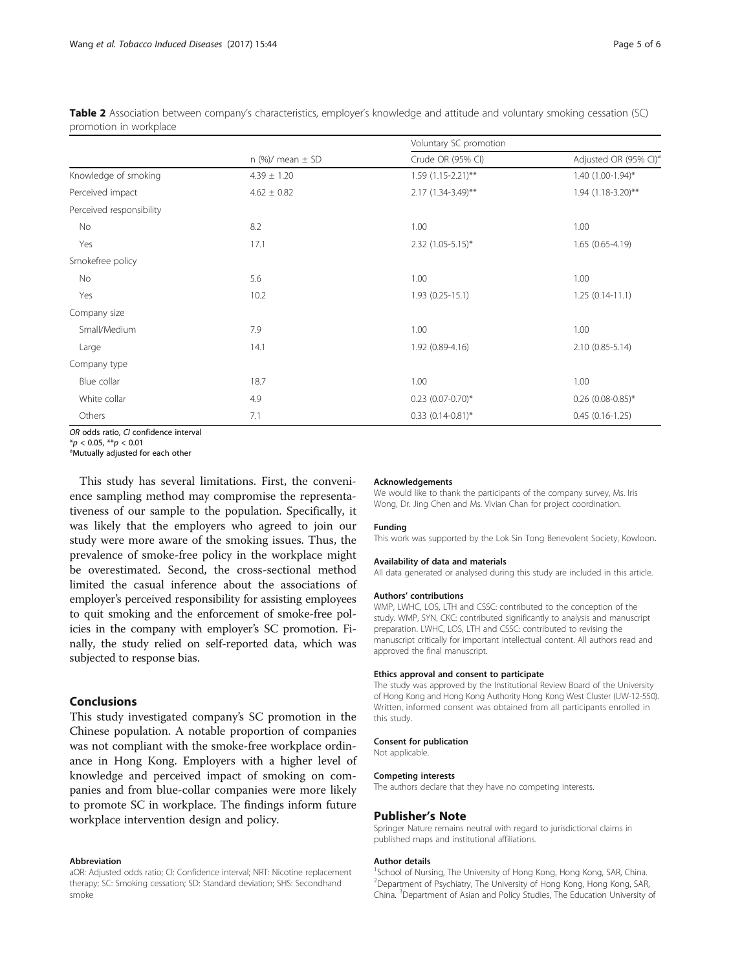<span id="page-4-0"></span>Table 2 Association between company's characteristics, employer's knowledge and attitude and voluntary smoking cessation (SC) promotion in workplace

|                          | n $(\%)$ / mean $\pm$ SD | Voluntary SC promotion |                                   |
|--------------------------|--------------------------|------------------------|-----------------------------------|
|                          |                          | Crude OR (95% CI)      | Adjusted OR (95% CI) <sup>a</sup> |
| Knowledge of smoking     | $4.39 \pm 1.20$          | $1.59(1.15-2.21)$ **   | $1.40(1.00-1.94)$ *               |
| Perceived impact         | $4.62 \pm 0.82$          | 2.17 (1.34-3.49)**     | 1.94 (1.18-3.20)**                |
| Perceived responsibility |                          |                        |                                   |
| No                       | 8.2                      | 1.00                   | 1.00                              |
| Yes                      | 17.1                     | $2.32$ (1.05-5.15)*    | $1.65(0.65-4.19)$                 |
| Smokefree policy         |                          |                        |                                   |
| No                       | 5.6                      | 1.00                   | 1.00                              |
| Yes                      | 10.2                     | $1.93(0.25-15.1)$      | $1.25(0.14-11.1)$                 |
| Company size             |                          |                        |                                   |
| Small/Medium             | 7.9                      | 1.00                   | 1.00                              |
| Large                    | 14.1                     | 1.92 (0.89-4.16)       | $2.10(0.85 - 5.14)$               |
| Company type             |                          |                        |                                   |
| Blue collar              | 18.7                     | 1.00                   | 1.00                              |
| White collar             | 4.9                      | $0.23$ (0.07-0.70)*    | $0.26$ (0.08-0.85)*               |
| Others                   | 7.1                      | $0.33$ (0.14-0.81)*    | $0.45(0.16-1.25)$                 |

OR odds ratio, CI confidence interval

 $**p* < 0.05, ***p* < 0.01$ 

<sup>a</sup>Mutually adjusted for each other

This study has several limitations. First, the convenience sampling method may compromise the representativeness of our sample to the population. Specifically, it was likely that the employers who agreed to join our study were more aware of the smoking issues. Thus, the prevalence of smoke-free policy in the workplace might be overestimated. Second, the cross-sectional method limited the casual inference about the associations of employer's perceived responsibility for assisting employees to quit smoking and the enforcement of smoke-free policies in the company with employer's SC promotion. Finally, the study relied on self-reported data, which was subjected to response bias.

#### Conclusions

This study investigated company's SC promotion in the Chinese population. A notable proportion of companies was not compliant with the smoke-free workplace ordinance in Hong Kong. Employers with a higher level of knowledge and perceived impact of smoking on companies and from blue-collar companies were more likely to promote SC in workplace. The findings inform future workplace intervention design and policy.

#### Abbreviation

aOR: Adjusted odds ratio; CI: Confidence interval; NRT: Nicotine replacement therapy; SC: Smoking cessation; SD: Standard deviation; SHS: Secondhand smoke

#### Acknowledgements

We would like to thank the participants of the company survey, Ms. Iris Wong, Dr. Jing Chen and Ms. Vivian Chan for project coordination.

#### Funding

This work was supported by the Lok Sin Tong Benevolent Society, Kowloon.

#### Availability of data and materials

All data generated or analysed during this study are included in this article.

#### Authors' contributions

WMP, LWHC, LOS, LTH and CSSC: contributed to the conception of the study. WMP, SYN, CKC: contributed significantly to analysis and manuscript preparation. LWHC, LOS, LTH and CSSC: contributed to revising the manuscript critically for important intellectual content. All authors read and approved the final manuscript.

#### Ethics approval and consent to participate

The study was approved by the Institutional Review Board of the University of Hong Kong and Hong Kong Authority Hong Kong West Cluster (UW-12-550). Written, informed consent was obtained from all participants enrolled in this study.

#### Consent for publication

Not applicable.

#### Competing interests

The authors declare that they have no competing interests.

#### Publisher's Note

Springer Nature remains neutral with regard to jurisdictional claims in published maps and institutional affiliations.

#### Author details

<sup>1</sup>School of Nursing, The University of Hong Kong, Hong Kong, SAR, China <sup>2</sup>Department of Psychiatry, The University of Hong Kong, Hong Kong, SAR China. <sup>3</sup> Department of Asian and Policy Studies, The Education University of